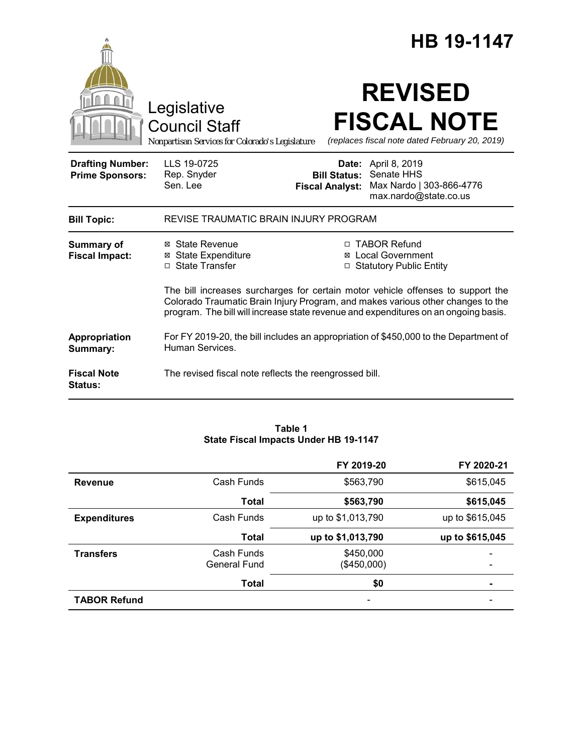|                                                   | Legislative<br><b>Council Staff</b><br>Nonpartisan Services for Colorado's Legislature                                                                                                                                                                    |                                               | <b>HB 19-1147</b><br><b>REVISED</b><br><b>FISCAL NOTE</b><br>(replaces fiscal note dated February 20, 2019) |
|---------------------------------------------------|-----------------------------------------------------------------------------------------------------------------------------------------------------------------------------------------------------------------------------------------------------------|-----------------------------------------------|-------------------------------------------------------------------------------------------------------------|
| <b>Drafting Number:</b><br><b>Prime Sponsors:</b> | LLS 19-0725<br>Rep. Snyder<br>Sen. Lee                                                                                                                                                                                                                    | <b>Bill Status:</b><br><b>Fiscal Analyst:</b> | <b>Date:</b> April 8, 2019<br>Senate HHS<br>Max Nardo   303-866-4776<br>max.nardo@state.co.us               |
| <b>Bill Topic:</b>                                | REVISE TRAUMATIC BRAIN INJURY PROGRAM                                                                                                                                                                                                                     |                                               |                                                                                                             |
| <b>Summary of</b><br><b>Fiscal Impact:</b>        | ⊠ State Revenue<br><b>⊠</b> State Expenditure<br>□ State Transfer                                                                                                                                                                                         | $\Box$                                        | □ TABOR Refund<br><b>⊠</b> Local Government<br><b>Statutory Public Entity</b>                               |
|                                                   | The bill increases surcharges for certain motor vehicle offenses to support the<br>Colorado Traumatic Brain Injury Program, and makes various other changes to the<br>program. The bill will increase state revenue and expenditures on an ongoing basis. |                                               |                                                                                                             |
| Appropriation<br>Summary:                         | For FY 2019-20, the bill includes an appropriation of \$450,000 to the Department of<br>Human Services.                                                                                                                                                   |                                               |                                                                                                             |
| <b>Fiscal Note</b><br><b>Status:</b>              | The revised fiscal note reflects the reengrossed bill.                                                                                                                                                                                                    |                                               |                                                                                                             |

### **Table 1 State Fiscal Impacts Under HB 19-1147**

|                     |                                   | FY 2019-20               | FY 2020-21      |
|---------------------|-----------------------------------|--------------------------|-----------------|
| <b>Revenue</b>      | Cash Funds                        | \$563,790                | \$615,045       |
|                     | <b>Total</b>                      | \$563,790                | \$615,045       |
| <b>Expenditures</b> | Cash Funds                        | up to \$1,013,790        | up to \$615,045 |
|                     | Total                             | up to \$1,013,790        | up to \$615,045 |
| <b>Transfers</b>    | Cash Funds<br><b>General Fund</b> | \$450,000<br>(\$450,000) |                 |
|                     | <b>Total</b>                      | \$0                      |                 |
| <b>TABOR Refund</b> |                                   | -                        |                 |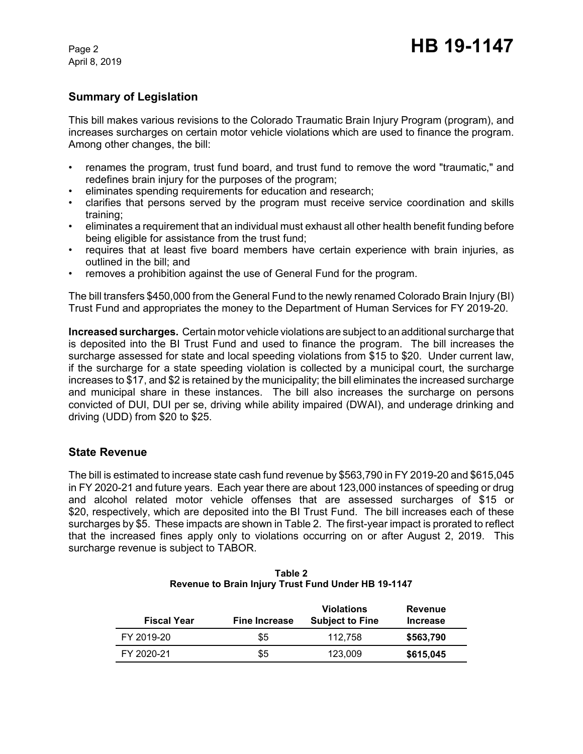April 8, 2019

## **Summary of Legislation**

This bill makes various revisions to the Colorado Traumatic Brain Injury Program (program), and increases surcharges on certain motor vehicle violations which are used to finance the program. Among other changes, the bill:

- renames the program, trust fund board, and trust fund to remove the word "traumatic," and redefines brain injury for the purposes of the program;
- eliminates spending requirements for education and research;
- clarifies that persons served by the program must receive service coordination and skills training;
- eliminates a requirement that an individual must exhaust all other health benefit funding before being eligible for assistance from the trust fund;
- requires that at least five board members have certain experience with brain injuries, as outlined in the bill; and
- removes a prohibition against the use of General Fund for the program.

The bill transfers \$450,000 from the General Fund to the newly renamed Colorado Brain Injury (BI) Trust Fund and appropriates the money to the Department of Human Services for FY 2019-20.

**Increased surcharges.** Certain motor vehicle violations are subject to an additional surcharge that is deposited into the BI Trust Fund and used to finance the program. The bill increases the surcharge assessed for state and local speeding violations from \$15 to \$20. Under current law, if the surcharge for a state speeding violation is collected by a municipal court, the surcharge increases to \$17, and \$2 is retained by the municipality; the bill eliminates the increased surcharge and municipal share in these instances. The bill also increases the surcharge on persons convicted of DUI, DUI per se, driving while ability impaired (DWAI), and underage drinking and driving (UDD) from \$20 to \$25.

## **State Revenue**

The bill is estimated to increase state cash fund revenue by \$563,790 in FY 2019-20 and \$615,045 in FY 2020-21 and future years. Each year there are about 123,000 instances of speeding or drug and alcohol related motor vehicle offenses that are assessed surcharges of \$15 or \$20, respectively, which are deposited into the BI Trust Fund. The bill increases each of these surcharges by \$5. These impacts are shown in Table 2. The first-year impact is prorated to reflect that the increased fines apply only to violations occurring on or after August 2, 2019. This surcharge revenue is subject to TABOR.

| <b>Fiscal Year</b> | <b>Fine Increase</b> | <b>Violations</b><br><b>Subject to Fine</b> | <b>Revenue</b><br><b>Increase</b> |
|--------------------|----------------------|---------------------------------------------|-----------------------------------|
| FY 2019-20         | \$5                  | 112.758                                     | \$563,790                         |
| FY 2020-21         | \$5                  | 123.009                                     | \$615,045                         |

| Table 2                                             |  |  |  |
|-----------------------------------------------------|--|--|--|
| Revenue to Brain Injury Trust Fund Under HB 19-1147 |  |  |  |